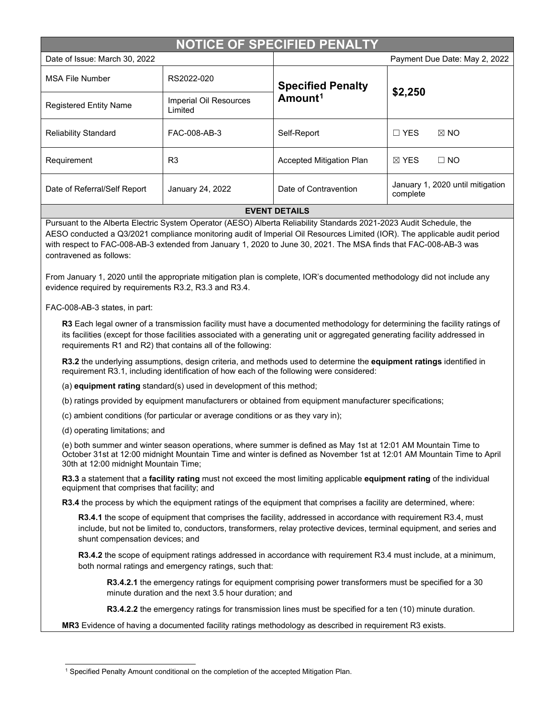| <b>NOTICE OF SPECIFIED PENALTY</b> |                                   |                                                 |                                              |  |  |
|------------------------------------|-----------------------------------|-------------------------------------------------|----------------------------------------------|--|--|
| Date of Issue: March 30, 2022      |                                   |                                                 | Payment Due Date: May 2, 2022                |  |  |
| <b>MSA File Number</b>             | RS2022-020                        | <b>Specified Penalty</b><br>Amount <sup>1</sup> | \$2,250                                      |  |  |
| <b>Registered Entity Name</b>      | Imperial Oil Resources<br>Limited |                                                 |                                              |  |  |
| <b>Reliability Standard</b>        | FAC-008-AB-3                      | Self-Report                                     | $\Box$ YES<br>$\boxtimes$ NO                 |  |  |
| Requirement                        | R <sub>3</sub>                    | <b>Accepted Mitigation Plan</b>                 | $\boxtimes$ YES<br>$\Box$ NO                 |  |  |
| Date of Referral/Self Report       | January 24, 2022                  | Date of Contravention                           | January 1, 2020 until mitigation<br>complete |  |  |
| <b>EVENT DETAILS</b>               |                                   |                                                 |                                              |  |  |

Pursuant to the Alberta Electric System Operator (AESO) Alberta Reliability Standards 2021-2023 Audit Schedule, the AESO conducted a Q3/2021 compliance monitoring audit of Imperial Oil Resources Limited (IOR). The applicable audit period with respect to FAC-008-AB-3 extended from January 1, 2020 to June 30, 2021. The MSA finds that FAC-008-AB-3 was contravened as follows:

From January 1, 2020 until the appropriate mitigation plan is complete, IOR's documented methodology did not include any evidence required by requirements R3.2, R3.3 and R3.4.

FAC-008-AB-3 states, in part:

**R3** Each legal owner of a transmission facility must have a documented methodology for determining the facility ratings of its facilities (except for those facilities associated with a generating unit or aggregated generating facility addressed in requirements R1 and R2) that contains all of the following:

**R3.2** the underlying assumptions, design criteria, and methods used to determine the **equipment ratings** identified in requirement R3.1, including identification of how each of the following were considered:

(a) **equipment rating** standard(s) used in development of this method;

(b) ratings provided by equipment manufacturers or obtained from equipment manufacturer specifications;

(c) ambient conditions (for particular or average conditions or as they vary in);

(d) operating limitations; and

(e) both summer and winter season operations, where summer is defined as May 1st at 12:01 AM Mountain Time to October 31st at 12:00 midnight Mountain Time and winter is defined as November 1st at 12:01 AM Mountain Time to April 30th at 12:00 midnight Mountain Time;

**R3.3** a statement that a **facility rating** must not exceed the most limiting applicable **equipment rating** of the individual equipment that comprises that facility; and

**R3.4** the process by which the equipment ratings of the equipment that comprises a facility are determined, where:

**R3.4.1** the scope of equipment that comprises the facility, addressed in accordance with requirement R3.4, must include, but not be limited to, conductors, transformers, relay protective devices, terminal equipment, and series and shunt compensation devices; and

**R3.4.2** the scope of equipment ratings addressed in accordance with requirement R3.4 must include, at a minimum, both normal ratings and emergency ratings, such that:

**R3.4.2.1** the emergency ratings for equipment comprising power transformers must be specified for a 30 minute duration and the next 3.5 hour duration; and

**R3.4.2.2** the emergency ratings for transmission lines must be specified for a ten (10) minute duration.

**MR3** Evidence of having a documented facility ratings methodology as described in requirement R3 exists.

<span id="page-0-0"></span><sup>&</sup>lt;sup>1</sup> Specified Penalty Amount conditional on the completion of the accepted Mitigation Plan.